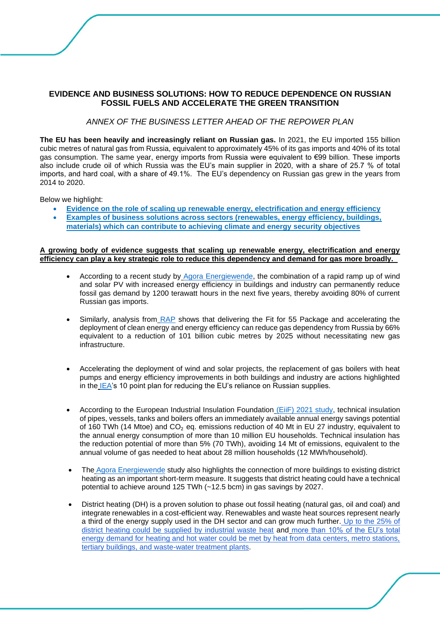# **EVIDENCE AND BUSINESS SOLUTIONS: HOW TO REDUCE DEPENDENCE ON RUSSIAN FOSSIL FUELS AND ACCELERATE THE GREEN TRANSITION**

## *ANNEX OF THE BUSINESS LETTER AHEAD OF THE REPOWER PLAN*

**The EU has been heavily and increasingly reliant on Russian gas.** In 2021, the EU imported 155 billion cubic metres of natural gas from Russia, equivalent to approximately 45% of its gas imports and 40% of its total gas consumption. The same year, energy imports from Russia were equivalent to €99 billion. These imports also include crude oil of which Russia was the EU's main supplier in 2020, with a share of 25.7 % of total imports, and hard coal, with a share of 49.1%. The EU's dependency on Russian gas grew in the years from 2014 to 2020.

Below we highlight:

- **[Evidence on the role of scaling up renewable energy, electrification and energy efficiency](#page-0-0)**
- **[Examples of business solutions across sectors \(renewables, energy efficiency, buildings,](#page-2-0)**
- **[materials\) which can contribute to achieving climate and energy security objectives](#page-2-0)**

#### <span id="page-0-0"></span>**A growing body of evidence suggests that scaling up renewable energy, electrification and energy efficiency can play a key strategic role to reduce this dependency and demand for gas more broadly.**

- According to a recent study by [Agora Energiewende,](https://static.agora-energiewende.de/fileadmin/Projekte/2021/2021_07_EU_GEXIT/253_Regaining-Europes-Energy-Sovereignty_WEB.pdf) the combination of a rapid ramp up of wind and solar PV with increased energy efficiency in buildings and industry can permanently reduce fossil gas demand by 1200 terawatt hours in the next five years, thereby avoiding 80% of current Russian gas imports.
- Similarly, analysis from [RAP](https://www.raponline.org/knowledge-center/eu-can-stop-russian-gas-imports-by-2025/) shows that delivering the Fit for 55 Package and accelerating the deployment of clean energy and energy efficiency can reduce gas dependency from Russia by 66% equivalent to a reduction of 101 billion cubic metres by 2025 without necessitating new gas infrastructure.
- Accelerating the deployment of wind and solar projects, the replacement of gas boilers with heat pumps and energy efficiency improvements in both buildings and industry are actions highlighted in the [IEA'](https://www.iea.org/news/how-europe-can-cut-natural-gas-imports-from-russia-significantly-within-a-year)s 10 point plan for reducing the EU's reliance on Russian supplies.
- According to the European Industrial Insulation Foundation [\(EiiF\) 2021 study,](https://www.eiif.org/sites/default/files/2022-04/EiiF_Study_2021.pdf) technical insulation of pipes, vessels, tanks and boilers offers an immediately available annual energy savings potential of 160 TWh (14 Mtoe) and  $CO<sub>2</sub>$  eq. emissions reduction of 40 Mt in EU 27 industry, equivalent to the annual energy consumption of more than 10 million EU households. Technical insulation has the reduction potential of more than 5% (70 TWh), avoiding 14 Mt of emissions, equivalent to the annual volume of gas needed to heat about 28 million households (12 MWh/household).
- The [Agora Energiewende](https://static.agora-energiewende.de/fileadmin/Projekte/2021/2021_07_EU_GEXIT/253_Regaining-Europes-Energy-Sovereignty_WEB.pdf) study also highlights the connection of more buildings to existing district heating as an important short-term measure. It suggests that district heating could have a technical potential to achieve around 125 TWh (~12.5 bcm) in gas savings by 2027.
- District heating (DH) is a proven solution to phase out fossil heating (natural gas, oil and coal) and integrate renewables in a cost-efficient way. Renewables and waste heat sources represent nearly a third of the energy supply used in the DH sector and can grow much further. [Up to the 25% of](https://heatroadmap.eu/wp-content/uploads/2019/02/HRE_Final-Brochure_web.pdf)  [district heating could be supplied by industrial waste heat](https://heatroadmap.eu/wp-content/uploads/2019/02/HRE_Final-Brochure_web.pdf) and [more than 10% of the EU's total](https://www.reuseheat.eu/wp-content/uploads/2021/02/D1.4-Accessible-urban-waste-heat_revised-compressed.pdf)  [energy demand for heating and hot water could be met by heat from data centers, metro stations,](https://www.reuseheat.eu/wp-content/uploads/2021/02/D1.4-Accessible-urban-waste-heat_revised-compressed.pdf)  [tertiary buildings, and waste-water treatment plants.](https://www.reuseheat.eu/wp-content/uploads/2021/02/D1.4-Accessible-urban-waste-heat_revised-compressed.pdf)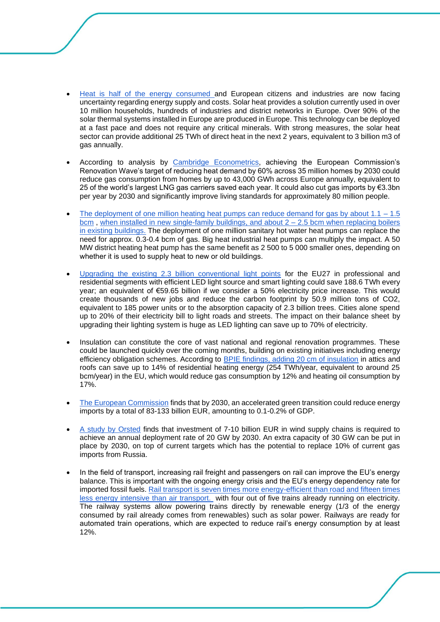- [Heat is half of the energy consumed a](http://solarheateurope.eu/2022/03/11/heat-is-half-energy-security-needs-to-deploy-urgently-renewable-heat-solutions-avoiding-dependency-from-russia-and-china/)nd European citizens and industries are now facing uncertainty regarding energy supply and costs. Solar heat provides a solution currently used in over 10 million households, hundreds of industries and district networks in Europe. Over 90% of the solar thermal systems installed in Europe are produced in Europe. This technology can be deployed at a fast pace and does not require any critical minerals. With strong measures, the solar heat sector can provide additional 25 TWh of direct heat in the next 2 years, equivalent to 3 billion m3 of gas annually.
- According to analysis by [Cambridge Econometrics,](https://www.camecon.com/what/our-work/the-renovation-wave-can-cut-eu-gas-imports-and-reduce-consumer-bills/?msclkid=e1f45e4fba7811ecbffc6c359115453b) achieving the European Commission's Renovation Wave's target of reducing heat demand by 60% across 35 million homes by 2030 could reduce gas consumption from homes by up to 43,000 GWh across Europe annually, equivalent to 25 of the world's largest LNG gas carriers saved each year. It could also cut gas imports by €3.3bn per year by 2030 and significantly improve living standards for approximately 80 million people.
- The deployment of one million heating heat pumps can reduce demand for gas by about  $1.1 1.5$ [bcm](https://www.ehpa.org/fileadmin/user_upload/REPowerEU_-_immediate_measures_to_move_the_European_heating_sector_closer_to_decarbonisation_36_.pdf), when installed in new single-family buildings, and about 2 – 2.5 bcm when replacing boilers in existing buildings. The deployment of one million sanitary hot water heat pumps can replace the need for approx. 0.3-0.4 bcm of gas. Big heat industrial heat pumps can multiply the impact. A 50 MW district heating heat pump has the same benefit as 2 500 to 5 000 smaller ones, depending on whether it is used to supply heat to new or old buildings.
- [Upgrading the existing 2.3 billion conventional light points](https://www.signify.com/global/our-company/news/press-releases/2021/20210624-here-is-how-switching-to-led-can-help-the-eu-in-its-race-to-zero) for the EU27 in professional and residential segments with efficient LED light source and smart lighting could save 188.6 TWh every year; an equivalent of €59.65 billion if we consider a 50% electricity price increase. This would create thousands of new jobs and reduce the carbon footprint by 50.9 million tons of CO2, equivalent to 185 power units or to the absorption capacity of 2.3 billion trees. Cities alone spend up to 20% of their electricity bill to light roads and streets. The impact on their balance sheet by upgrading their lighting system is huge as LED lighting can save up to 70% of electricity.
- Insulation can constitute the core of vast national and regional renovation programmes. These could be launched quickly over the coming months, building on existing initiatives including energy efficiency obligation schemes. According to **BPIE** findings, adding 20 cm of insulation in attics and roofs can save up to 14% of residential heating energy (254 TWh/year, equivalent to around 25 bcm/year) in the EU, which would reduce gas consumption by 12% and heating oil consumption by 17%.
- [The European Commission](https://ec.europa.eu/energy/sites/ener/files/documents/the_macro-level_and_sectoral_impacts_of_energy_efficiency_policies.pdf) finds that by 2030, an accelerated green transition could reduce energy imports by a total of 83-133 billion EUR, amounting to 0.1-0.2% of GDP.
- [A study by Orsted](https://orsted.com/en/about-us/whitepapers/renewables-can-solve-europes-energy-crisis) finds that investment of 7-10 billion EUR in wind supply chains is required to achieve an annual deployment rate of 20 GW by 2030. An extra capacity of 30 GW can be put in place by 2030, on top of current targets which has the potential to replace 10% of current gas imports from Russia.
- In the field of transport, increasing rail freight and passengers on rail can improve the EU's energy balance. This is important with the ongoing energy crisis and the EU's energy dependency rate for imported fossil fuels. [Rail transport is seven times more energy-efficient than road and fifteen times](https://transport.ec.europa.eu/media-corner/publications/statistical-pocketbook-2021_en)  [less energy intensive than air transport.](https://transport.ec.europa.eu/media-corner/publications/statistical-pocketbook-2021_en) with four out of five trains already running on electricity. The railway systems allow powering trains directly by renewable energy (1/3 of the energy consumed by rail already comes from renewables) such as solar power. Railways are ready for automated train operations, which are expected to reduce rail's energy consumption by at least 12%.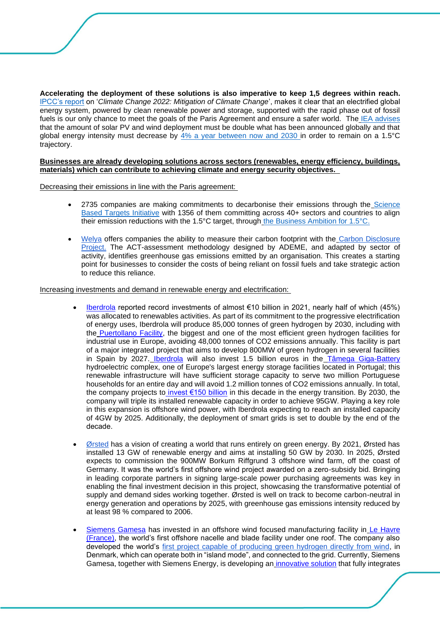**Accelerating the deployment of these solutions is also imperative to keep 1,5 degrees within reach[.](https://www.ipcc.ch/report/sixth-assessment-report-working-group-3/)** [IPCC's report](https://www.ipcc.ch/report/sixth-assessment-report-working-group-3/) on '*Climate Change 2022: Mitigation of Climate Change*', makes it clear that an electrified global energy system, powered by clean renewable power and storage, supported with the rapid phase out of fossil fuels is our only chance to meet the goals of the Paris Agreement and ensure a safer world. The [IEA advises](https://iea.blob.core.windows.net/assets/7ebafc81-74ed-412b-9c60-5cc32c8396e4/NetZeroby2050-ARoadmapfortheGlobalEnergySector-SummaryforPolicyMakers_CORR.pdf) that the amount of solar PV and wind deployment must be double what has been announced globally and that global energy intensity must decrease by 4% a year between now and 2030 in order to remain on a 1.5°C trajectory.

#### <span id="page-2-0"></span>**Businesses are already developing solutions across sectors (renewables, energy efficiency, buildings, materials) which can contribute to achieving climate and energy security objectives.**

Decreasing their emissions in line with the Paris agreement:

- 2735 companies are making commitments to decarbonise their emissions through the [Science](https://sciencebasedtargets.org/)  [Based Targets Initiative](https://sciencebasedtargets.org/) with 1356 of them committing across 40+ sectors and countries to align their emission reductions with the 1.5°C target, through [the Business Ambition for 1.5°C.](https://sciencebasedtargets.org/business-ambition-for-1-5c)
- [Welya](https://www.welya.fr/en/homepage-english/) offers companies the ability to measure their carbon footprint with the [Carbon Disclosure](https://www.welya.fr/en/bilan-carbone-en/)  [Project.](https://www.welya.fr/en/bilan-carbone-en/) The ACT-assessment methodology designed by ADEME, and adapted by sector of activity, identifies greenhouse gas emissions emitted by an organisation. This creates a starting point for businesses to consider the costs of being reliant on fossil fuels and take strategic action to reduce this reliance.

Increasing investments and demand in renewable energy and electrification:

- [Iberdrola](https://www.iberdrola.com/home) reported record investments of almost €10 billion in 2021, nearly half of which (45%) was allocated to renewables activities. As part of its commitment to the progressive electrification of energy uses, Iberdrola will produce 85,000 tonnes of green hydrogen by 2030, including with the [Puertollano Facility,](https://linkprotect.cudasvc.com/url?a=https%3a%2f%2fwww.iberdrola.com%2fabout-us%2flines-business%2fflagship-projects%2fpuertollano-green-hydrogen-plant&c=E,1,xAxBL0yjtolYooAeYzcmmKM_ggdQssSuG824NniG9KRJeeB5m-E6Q8tpbmKk-VF4sbr_XUYbc-Uu_nRDcmaPRCnq1oUXC1qienZXgNQv43PV0C69Pr554fNWBg,,&typo=1) the biggest and one of the most efficient green hydrogen facilities for industrial use in Europe, avoiding 48,000 tonnes of CO2 emissions annually. This facility is part of a major integrated project that aims to develop 800MW of green hydrogen in several facilities in Spain by 2027. [Iberdrola](https://linkprotect.cudasvc.com/url?a=https%3a%2f%2fwww.iberdrola.es%2fen&c=E,1,soZM1MD-MMoQCK3avbiLLae5KqRlJzafdKY6VOJTdwWltkyNEZ-dkDrvo3QTc6S-1KiuBhNwul3uVcfelxo0MGqHwBX7p-S_kaCTHmNMnVyEpSNEuQ,,&typo=1) will also invest 1.5 billion euros in the [Tâmega Giga-Battery](https://linkprotect.cudasvc.com/url?a=https%3a%2f%2fwww.iberdrola.com%2fabout-us%2flines-business%2fflagship-projects%2ftamega-project&c=E,1,5zjoLSRbm_iDdvNA7R8OjQVqKgESeLdT_v5z4ZbZdMLMXmKcSJ4iDYegVY67FxKyMqrt_Raj_VoFv0HsOIStZf83ESBteMGqXbhHPixtLW0qJR4,&typo=1) hydroelectric complex, one of Europe's largest energy storage facilities located in Portugal; this renewable infrastructure will have sufficient storage capacity to serve two million Portuguese households for an entire day and will avoid 1.2 million tonnes of CO2 emissions annually. In total, the company projects to [invest €150 billion](https://linkprotect.cudasvc.com/url?a=https%3a%2f%2fwww.iberdrola.com%2fdocuments%2f20125%2f41587%2fIberdrolas_Climate_Action.pdf&c=E,1,2MYdmjs4E7SxD1nqKFRkWdqX_MktkgkJddVLfvGNHX56hNT-UPngYpVha6FCnJZMUAOUnOF5H9JShAoJ2Mjjqo_8mKINF6K3Qmw9RlIGxg,,&typo=1) in this decade in the energy transition. By 2030, the company will triple its installed renewable capacity in order to achieve 95GW. Playing a key role in this expansion is offshore wind power, with Iberdrola expecting to reach an installed capacity of 4GW by 2025. Additionally, the deployment of smart grids is set to double by the end of the decade.
- [Ørsted](https://linkprotect.cudasvc.com/url?a=https%3a%2f%2fprotect2.fireeye.com%2fv1%2furl%3fk%3d31323334-501d5122-3132dd7b-454445555731-49f7e43aea13ece6%26q%3d1%26e%3d54ef57e9-1151-41ad-a000-51a7d8cfcc04%26u%3dhttps%253A%252F%252Flinkprotect.cudasvc.com%252Furl%253Fa%253Dhttps%25253a%25252f%25252forsted.com%25252f%2526c%253DE%252C1%252C7xEpQtkz0LGs1r-cky8TsCoYuSAAJSKW6NE8HXnOkJ-XWQXeTzc6eCkc2iQPhCaEwlK-jo-U3o72yDmhaaaNoWeGWYFHFKmTn08bpq7UqsuiHSsK2pxZ%2526typo%253D1&c=E,1,h7CK3OBLs-sJKVR2Km6CDkj4PBdUDkQv0cDlagdJUBJ4KK4B1YCCeFm7TVCy38stZN-8LnDWMeQXu3x4EZ03YYrcoT0m4M0q-KgZDRUupAPpy8tet2zT3Zqqnllu&typo=1) has a vision of creating a world that runs entirely on green energy. By 2021, Ørsted has installed 13 GW of renewable energy and aims at installing 50 GW by 2030. In 2025, Ørsted expects to commission the 900MW Borkum Riffgrund 3 offshore wind farm, off the coast of Germany. It was the world's first offshore wind project awarded on a zero-subsidy bid. Bringing in leading corporate partners in signing large-scale power purchasing agreements was key in enabling the final investment decision in this project, showcasing the transformative potential of supply and demand sides working together. Ørsted is well on track to become carbon-neutral in energy generation and operations by 2025, with greenhouse gas emissions intensity reduced by at least 98 % compared to 2006.
- [Siemens Gamesa](https://eur04.safelinks.protection.outlook.com/?url=https%3A%2F%2Fwww.siemensgamesa.com%2Fen-int&data=05%7C01%7CJON.LEZAMIZ%40siemensgamesa.com%7C1c5f5cab357b455f5c9008da2e87b0da%7C12f921d8f30d4596a6527045b338485a%7C0%7C0%7C637873457559517622%7CUnknown%7CTWFpbGZsb3d8eyJWIjoiMC4wLjAwMDAiLCJQIjoiV2luMzIiLCJBTiI6Ik1haWwiLCJXVCI6Mn0%3D%7C3000%7C%7C%7C&sdata=ePVc0VvZwghXmpnGeylKduX7N0QjyVSF4Ns21dZWWiE%3D&reserved=0) has invested in an offshore wind focused manufacturing facility in [Le Havre](https://eur04.safelinks.protection.outlook.com/?url=https%3A%2F%2Fwww.siemensgamesa.com%2Fen-int%2Fnewsroom%2F2022%2F03%2F220330-siemens-gamesa-press-release-le-havre-start-of-production&data=05%7C01%7CJON.LEZAMIZ%40siemensgamesa.com%7C1c5f5cab357b455f5c9008da2e87b0da%7C12f921d8f30d4596a6527045b338485a%7C0%7C0%7C637873457559517622%7CUnknown%7CTWFpbGZsb3d8eyJWIjoiMC4wLjAwMDAiLCJQIjoiV2luMzIiLCJBTiI6Ik1haWwiLCJXVCI6Mn0%3D%7C3000%7C%7C%7C&sdata=vOQIrh9BfSjEUj8sSL40dKH2fYZZNyhsu4ygXj4Orhw%3D&reserved=0)  [\(France\),](https://eur04.safelinks.protection.outlook.com/?url=https%3A%2F%2Fwww.siemensgamesa.com%2Fen-int%2Fnewsroom%2F2022%2F03%2F220330-siemens-gamesa-press-release-le-havre-start-of-production&data=05%7C01%7CJON.LEZAMIZ%40siemensgamesa.com%7C1c5f5cab357b455f5c9008da2e87b0da%7C12f921d8f30d4596a6527045b338485a%7C0%7C0%7C637873457559517622%7CUnknown%7CTWFpbGZsb3d8eyJWIjoiMC4wLjAwMDAiLCJQIjoiV2luMzIiLCJBTiI6Ik1haWwiLCJXVCI6Mn0%3D%7C3000%7C%7C%7C&sdata=vOQIrh9BfSjEUj8sSL40dKH2fYZZNyhsu4ygXj4Orhw%3D&reserved=0) the world's first offshore nacelle and blade facility under one roof. The company also developed the world's [first project capable of producing green hydrogen directly from wind,](https://www.siemensgamesa.com/en-int/newsroom/2021/11/211110-siemens-gamesa-green-hydrogen-to-vehicles) in Denmark, which can operate both in "island mode", and connected to the grid. Currently, Siemens Gamesa, together with Siemens Energy, is developing an [innovative solution](https://eur04.safelinks.protection.outlook.com/?url=https%3A%2F%2Fwww.siemensgamesa.com%2Fnewsroom%2F2021%2F01%2F210113-siemens-gamesa-press-release-siemens-energy-agreement-green-hydrogen&data=05%7C01%7CJON.LEZAMIZ%40siemensgamesa.com%7C1c5f5cab357b455f5c9008da2e87b0da%7C12f921d8f30d4596a6527045b338485a%7C0%7C0%7C637873457559517622%7CUnknown%7CTWFpbGZsb3d8eyJWIjoiMC4wLjAwMDAiLCJQIjoiV2luMzIiLCJBTiI6Ik1haWwiLCJXVCI6Mn0%3D%7C3000%7C%7C%7C&sdata=pq%2BgZ4MnNbQqLCj%2BExpsSrMihjuwHi%2FNsxLlxFcQhHQ%3D&reserved=0) that fully integrates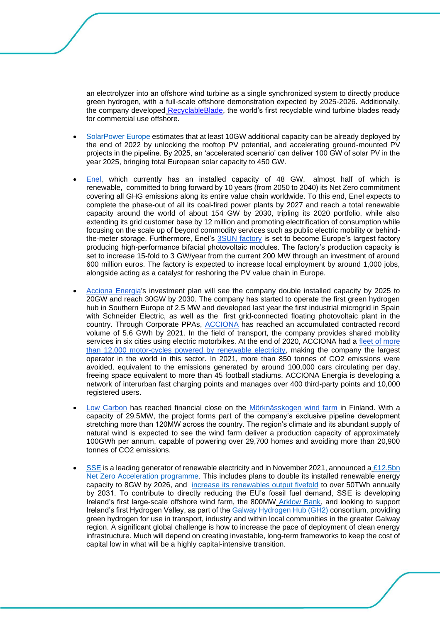an electrolyzer into an offshore wind turbine as a single synchronized system to directly produce green hydrogen, with a full-scale offshore demonstration expected by 2025-2026. Additionally, the company developed [RecyclableBlade,](http://recyclableblade/) the world's first recyclable wind turbine blades ready for commercial use offshore.

- [SolarPower Europe](https://www.solarpowereurope.org/press-releases/solar-power-europe-calls-on-european-leaders-to-responsibly-co-ordinate-eu-action-on-energy-market-action) estimates that at least 10GW additional capacity can be already deployed by the end of 2022 by unlocking the rooftop PV potential, and accelerating ground-mounted PV projects in the pipeline. By 2025, an 'accelerated scenario' can deliver 100 GW of solar PV in the year 2025, bringing total European solar capacity to 450 GW.
- [Enel,](https://www.enel.com/) which currently has an installed capacity of 48 GW, almost half of which is renewable, committed to bring forward by 10 years (from 2050 to 2040) its Net Zero commitment covering all GHG emissions along its entire value chain worldwide. To this end, Enel expects to complete the phase-out of all its coal-fired power plants by 2027 and reach a total renewable capacity around the world of about 154 GW by 2030, tripling its 2020 portfolio, while also extending its grid customer base by 12 million and promoting electrification of consumption while focusing on the scale up of beyond commodity services such as public electric mobility or behindthe-meter storage. Furthermore, Enel's [3SUN factory](https://www.enelgreenpower.com/who-we-are/innovation/3SUN-factory) is set to become Europe's largest factory producing high-performance bifacial photovoltaic modules. The factory's production capacity is set to increase 15-fold to 3 GW/year from the current 200 MW through an investment of around 600 million euros. The factory is expected to increase local employment by around 1,000 jobs, alongside acting as a catalyst for reshoring the PV value chain in Europe.
- [Acciona Energia's](https://www.acciona-energia.com/?_adin=02021864894) investment plan will see the company double installed capacity by 2025 to 20GW and reach 30GW by 2030. The company has started to operate the first green hydrogen hub in Southern Europe of 2.5 MW and developed last year the first industrial microgrid in Spain with Schneider Electric, as well as the first grid-connected floating photovoltaic plant in the country. Through Corporate PPAs, **ACCIONA** has reached an accumulated contracted record volume of 5.6 GWh by 2021. In the field of transport, the company provides shared mobility services in six cities using electric motorbikes. At the end of 2020, ACCIONA had a fleet of more [than 12,000 motor-cycles powered by renewable electricity,](https://mediacdn.acciona.com/media/vvwiobpm/integrated-report-2020.pdf) making the company the largest operator in the world in this sector. In 2021, more than 850 tonnes of CO2 emissions were avoided, equivalent to the emissions generated by around 100,000 cars circulating per day, freeing space equivalent to more than 45 football stadiums. ACCIONA Energia is developing a network of interurban fast charging points and manages over 400 third-party points and 10,000 registered users.
- [Low Carbon](https://www.lowcarbon.com/) has reached financial close on the [Mörknässkogen wind farm](https://www.lowcarbon.com/news-feed/low-carbon-closes-deal-for-29-5mw-morknasskogen-wind-farm-in-finland/) in Finland. With a capacity of 29.5MW, the project forms part of the company's exclusive pipeline development stretching more than 120MW across the country. The region's climate and its abundant supply of natural wind is expected to see the wind farm deliver a production capacity of approximately 100GWh per annum, capable of powering over 29,700 homes and avoiding more than 20,900 tonnes of CO2 emissions.
- [SSE](https://linkprotect.cudasvc.com/url?a=https%3a%2f%2fwww.sse.com%2f&c=E,1,YdNNFmbQVF1aIemYyGkwrnQhXiRLKsW7jbtCR8wHbisTF-wKH856pBqIriHV6J1qbof4WLQXcZyn6bqiTDN3HQjPhrLn9W2C1HVIwxs03QbbkAH7sA,,&typo=1) is a leading generator of renewable electricity and in November 2021, announced a £12.5bn [Net Zero Acceleration programme.](https://linkprotect.cudasvc.com/url?a=https%3a%2f%2fwww.sse.com%2fwhat-we-do%2fnet-zero-acceleration-programme%2f&c=E,1,tLsGzHQ1-__ypMF7H7XV9wlZQTiHdFemp4q5a6VrFDBuObf83Km4VhMLODrNQqdvUFXP6cSi-I9m3J0575zoMaqtXTQ7hMImMsy5ry_GXEuenmKnmg,,&typo=1) This includes plans to double its installed renewable energy capacity to 8GW by 2026, and [increase its renewables output fivefold](https://linkprotect.cudasvc.com/url?a=https%3a%2f%2fwww.sserenewables.com%2fwho-we-are%2four-strategy%2f&c=E,1,YGSzzBzSdhn_8_v-7cwPCH2OYJv8mO4TchAc2VIVQcpZWpO9sCdFVuUurSsH6sWWkTdjFabSe9aUzjfgOUdhDHS3m-_DiGwvZFxGzzHx&typo=1) to over 50TWh annually by 2031. To contribute to directly reducing the EU's fossil fuel demand, SSE is developing Ireland's first large-scale offshore wind farm, the 800MW [Arklow Bank,](https://linkprotect.cudasvc.com/url?a=https%3a%2f%2fwww.sserenewables.com%2foffshore-wind%2fprojects%2farklow-bank-wind-park%2f&c=E,1,wRl8cE_bn918VamJR3fIlOkvIUrm7xlDi3p5sDjX5t4BUROwOBoTP61iIOh_oep5TY0lM1Bq52ADix1xesi5s3M0tktFXtZGyV2KUd1nEo9NfokA5r25NJ4yEPI,&typo=1) and looking to support Ireland's first Hydrogen Valley, as part of the [Galway Hydrogen Hub \(GH2\)](https://linkprotect.cudasvc.com/url?a=https%3a%2f%2fwww.sserenewables.com%2fnews-and-views%2f2022%2f04%2fnew-hydrogen-multi-modal-transport-facility-to-be-developed-in-galway%2f&c=E,1,8cR2PwjEjDfDFgp-L5uMY1n9f1LJ2ehlu9Ka1ymklnOHcf7Yrs3vyHQRYqrF-b05NN8m1205x4V9z_RwN37Ucb_4c0fCHCkr-ApSoBSwzd3zlbS6AzCVePO8BnEf&typo=1) consortium, providing green hydrogen for use in transport, industry and within local communities in the greater Galway region. A significant global challenge is how to increase the pace of deployment of clean energy infrastructure. Much will depend on creating investable, long-term frameworks to keep the cost of capital low in what will be a highly capital-intensive transition.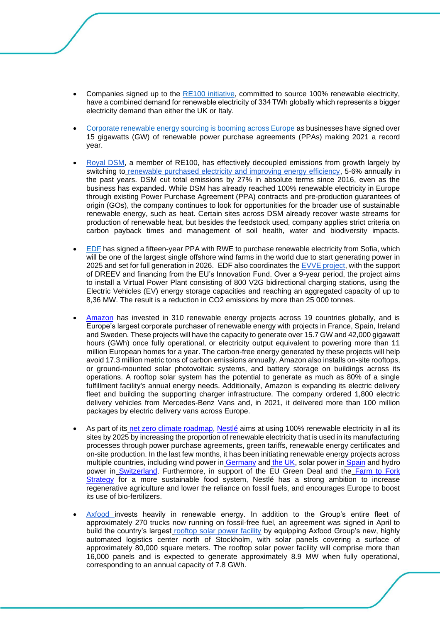- Companies signed up to the RE100 initiative, committed to source 100% renewable electricity, have a combined demand for renewable electricity of 334 TWh globally which represents a bigger electricity demand than either the UK or Italy.
- Corporate renewable energy sourcing is booming across Europe as businesses have signed over 15 gigawatts (GW) of renewable power purchase agreements (PPAs) making 2021 a record year.
- [Royal DSM,](https://linkprotect.cudasvc.com/url?a=https%3a%2f%2fwww.dsm.com%2fcorporate%2fhome.html&c=E,1,z103JiUiT2eUxDeRsqTc1X_LUUu6E72pESEmpCCLdOGUdo3J1RxSwQM9IVptsPg3tBHED2u2naVXJqYmP1FPeLt5RKQtQXrFqgrao4eBPsVp6joBsA,,&typo=1) a member of RE100, has effectively decoupled emissions from growth largely by switching to [renewable purchased electricity and improving energy efficiency,](https://linkprotect.cudasvc.com/url?a=https%3a%2f%2fannualreport.dsm.com%2far2021%2freport-by-the-managing-board%2fplanet%2fclimate-mitigation%2fenergy-transition.html%3fsearch-highlight%3drenewable%2520Renewable%2520electricity%2520electricity%252C&c=E,1,FxXvrieU3l-3OiWyBgz2ssVTI5OaElha7hTFyotnF85pRARQsdtzaF0V_RpK7PXqFKKSCHiUSQ-1r8k6Ncm1jEefjEFFgBqSezflvSNajdeGxbc6safN3B67Ig,,&typo=1) 5-6% annually in the past years. DSM cut total emissions by 27% in absolute terms since 2016, even as the business has expanded. While DSM has already reached 100% renewable electricity in Europe through existing Power Purchase Agreement (PPA) contracts and pre-production guarantees of origin (GOs), the company continues to look for opportunities for the broader use of sustainable renewable energy, such as heat. Certain sites across DSM already recover waste streams for production of renewable heat, but besides the feedstock used, company applies strict criteria on carbon payback times and management of soil health, water and biodiversity impacts.
- [EDF](https://www.edfenergy.com/media-centre/news-releases/edf-signs-largest-offshore-wind-farm-agreement-rwe#:~:text=million%20UK%20homes.-,EDF%20has%20signed%20a%20fifteen%2Dyear%20power%20purchase%20agreement%20(PPA,for%20full%20generation%20in%202026.) has signed a fifteen-year PPA with RWE to purchase renewable electricity from Sofia, which will be one of the largest single offshore wind farms in the world due to start generating power in 2025 and set for full generation in 2026. EDF also coordinates th[e EVVE project,](https://www.edf.fr/en/the-edf-group/inventing-the-future-of-energy/electric-mobility-for-today-and-tomorrow/edf-launches-europes-first-bi-directional-charging-demonstrator/evve-an-ambitious-project) with the support of DREEV and financing from the EU's Innovation Fund. Over a 9-year period, the project aims to install a Virtual Power Plant consisting of 800 V2G bidirectional charging stations, using the Electric Vehicles (EV) energy storage capacities and reaching an aggregated capacity of up to 8,36 MW. The result is a reduction in CO2 emissions by more than 25 000 tonnes.
- [Amazon](https://sustainability.aboutamazon.com/environment/sustainable-operations/renewable-energy?energyType=true) has invested in 310 renewable energy projects across 19 countries globally, and is Europe's largest corporate purchaser of renewable energy with projects in France, Spain, Ireland and Sweden. These projects will have the capacity to generate over 15.7 GW and 42,000 gigawatt hours (GWh) once fully operational, or electricity output equivalent to powering more than 11 million European homes for a year. The carbon-free energy generated by these projects will help avoid 17.3 million metric tons of carbon emissions annually. Amazon also installs on-site rooftops, or ground-mounted solar photovoltaic systems, and battery storage on buildings across its operations. A rooftop solar system has the potential to generate as much as 80% of a single fulfillment facility's annual energy needs. Additionally, Amazon is expanding its electric delivery fleet and building the supporting charger infrastructure. The company ordered 1,800 electric delivery vehicles from Mercedes-Benz Vans and, in 2021, it delivered more than 100 million packages by electric delivery vans across Europe.
- As part of its [net zero climate roadmap,](https://linkprotect.cudasvc.com/url?a=https%3a%2f%2fwww.nestle.com%2fsustainability%2fclimate-change%2fzero-environmental-impact&c=E,1,_yY7EUcqK7CuRuDpzKowMvsuOq7ug8dW3083PjXRe2q9Xk77_5_KMIVRyEcgH7F86LfTAWsHZE3lcw7k9Jpxg1cl8yu_-PjhTBOpMHkQ5OQgYGTNxFT57V5o&typo=1) [Nestlé](https://www.nestle.com/) aims at using 100% renewable electricity in all its sites by 2025 by increasing the proportion of renewable electricity that is used in its manufacturing processes through power purchase agreements, green tariffs, renewable energy certificates and on-site production. In the last few months, it has been initiating renewable energy projects across multiple countries, including wind power in [Germany](https://eur02.safelinks.protection.outlook.com/?url=https%3A%2F%2Fwww.nestle.de%2Fmedien%2Fmedieninformation%2Fmehr-strom-aus-deutschen-windparks&data=05%7C01%7CJohannes.Weber%40be.nestle.com%7C76d321fa75f442abe64e08da2f3b391d%7C12a3af23a7694654847f958f3d479f4a%7C0%7C0%7C637874228644246779%7CUnknown%7CTWFpbGZsb3d8eyJWIjoiMC4wLjAwMDAiLCJQIjoiV2luMzIiLCJBTiI6Ik1haWwiLCJXVCI6Mn0%3D%7C3000%7C%7C%7C&sdata=rvEihKPWeWuiyFCcM467TifLj3KcqcNC13Hg4L%2FtLqw%3D&reserved=0) and [the UK,](https://eur02.safelinks.protection.outlook.com/?url=https%3A%2F%2Fwww.nestle.co.uk%2Fen-gb%2Fmedia%2Fnews%2Fnew-offshore-wind-farm-partnership-announced-power-nestl%25C3%25A9&data=05%7C01%7CJohannes.Weber%40be.nestle.com%7C76d321fa75f442abe64e08da2f3b391d%7C12a3af23a7694654847f958f3d479f4a%7C0%7C0%7C637874228644246779%7CUnknown%7CTWFpbGZsb3d8eyJWIjoiMC4wLjAwMDAiLCJQIjoiV2luMzIiLCJBTiI6Ik1haWwiLCJXVCI6Mn0%3D%7C3000%7C%7C%7C&sdata=hvBGUauCURjzgTJNXsM3dWHMbk1o%2B9%2F%2BIIhIiQOIOVY%3D&reserved=0) solar power in [Spain](https://eur02.safelinks.protection.outlook.com/?url=https%3A%2F%2Fempresa.nestle.es%2Fes%2Fsala-de-prensa%2Factualidad-nestle%2Fprimer-parque-solar-fotovoltaico&data=05%7C01%7CJohannes.Weber%40be.nestle.com%7C76d321fa75f442abe64e08da2f3b391d%7C12a3af23a7694654847f958f3d479f4a%7C0%7C0%7C637874228644246779%7CUnknown%7CTWFpbGZsb3d8eyJWIjoiMC4wLjAwMDAiLCJQIjoiV2luMzIiLCJBTiI6Ik1haWwiLCJXVCI6Mn0%3D%7C3000%7C%7C%7C&sdata=moIOo0aCRokLSAV2%2B8fgIthFw8sTgIew5A%2FLWlExKTc%3D&reserved=0) and hydro power in [Switzerland.](https://eur02.safelinks.protection.outlook.com/?url=https%3A%2F%2Fwww.nestle.ch%2Fde%2Fmedia%2Fpressreleases%2Fnestlebeziehtgrunenstromausdemwallisermauvoisinstaudamm&data=05%7C01%7CJohannes.Weber%40be.nestle.com%7C76d321fa75f442abe64e08da2f3b391d%7C12a3af23a7694654847f958f3d479f4a%7C0%7C0%7C637874228644246779%7CUnknown%7CTWFpbGZsb3d8eyJWIjoiMC4wLjAwMDAiLCJQIjoiV2luMzIiLCJBTiI6Ik1haWwiLCJXVCI6Mn0%3D%7C3000%7C%7C%7C&sdata=RPSLJEw9wLHD5zoqvLyhh5MCbjVDXQCFpZAcUkUjdfM%3D&reserved=0) Furthermore, in support of the EU Green Deal and the Farm to Fork [Strategy](https://ec.europa.eu/food/horizontal-topics/farm-fork-strategy_en) for a more sustainable food system, Nestlé has a strong ambition to increase regenerative agriculture and lower the reliance on fossil fuels, and encourages Europe to boost its use of bio-fertilizers.
- [Axfood i](https://www.axfood.com/)nvests heavily in renewable energy. In addition to the Group's entire fleet of approximately 270 trucks now running on fossil-free fuel, an agreement was signed in April to build the country's largest [rooftop solar power facility](https://www.axfood.com/newsroom/press-releases/2022/04/axfood-to-build-swedens-largest-rooftop-solar-power-facility) by equipping Axfood Group's new, highly automated logistics center north of Stockholm, with solar panels covering a surface of approximately 80,000 square meters. The rooftop solar power facility will comprise more than 16,000 panels and is expected to generate approximately 8.9 MW when fully operational, corresponding to an annual capacity of 7.8 GWh.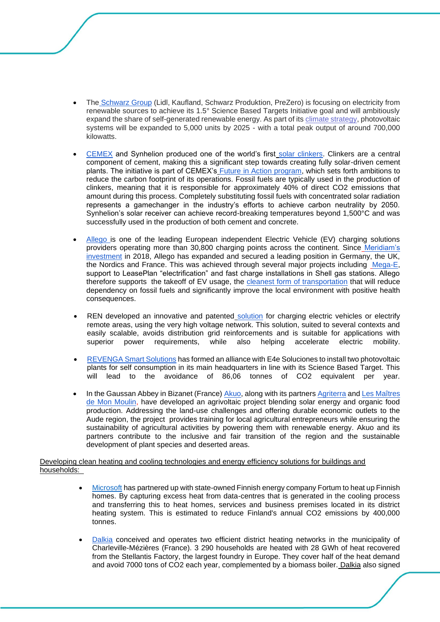- The [Schwarz Group](https://linkprotect.cudasvc.com/url?a=http%3a%2f%2fwww.gruppe.schwarz%2fen&c=E,1,bQkPNe5pkPvw4ywKwwY6pB3fPNmyt4ku-hROvR-Vz59LLmNYGxsUrkEqZHL3KazWGmK7xu6M-KUFwzeby5CcIpOar0JYzfORgW2A57Pv7o5qMGnsAJf6jZuRnM0,&typo=1) (Lidl, Kaufland, Schwarz Produktion, PreZero) is focusing on electricity from renewable sources to achieve its 1.5° Science Based Targets Initiative goal and will ambitiously expand the share of self-generated renewable energy. As part of its [climate strategy,](https://linkprotect.cudasvc.com/url?a=https%3a%2f%2fgruppe.schwarz%2fen%2fresponsibility%2fecosystems&c=E,1,zG5DgbAHWTAKsiUVG6yB4NCL7UEX7MMRm4G7WfCvRUoj6q-xuJcz8AkjqGiXOLf4OT9tDn2dc5luMajYTXD1dbMmEKY0JFCbKV77y2HNcYvJYXLTuxXP-EBk6-U,&typo=1) photovoltaic systems will be expanded to 5,000 units by 2025 - with a total peak output of around 700,000 kilowatts.
- [CEMEX](https://www.cemex.com/) and Synhelion produced one of the world's first [solar clinkers.](https://www.cemex.com/-/cemex-and-synhelion-achieve-breakthrough-in-cement-production-with-solar-energy) Clinkers are a central component of cement, making this a significant step towards creating fully solar-driven cement plants. The initiative is part of CEMEX's [Future in Action program,](https://www.cemex.com/sustainability/future-in-action) which sets forth ambitions to reduce the carbon footprint of its operations. Fossil fuels are typically used in the production of clinkers, meaning that it is responsible for approximately 40% of direct CO2 emissions that amount during this process. Completely substituting fossil fuels with concentrated solar radiation represents a gamechanger in the industry's efforts to achieve carbon neutrality by 2050. Synhelion's solar receiver can achieve record-breaking temperatures beyond 1,500°C and was successfully used in the production of both cement and concrete.
- [Allego is](https://www.meridiam.com/projects/allego-electric-vehicle-charging-stations-platform-european-platform/) one of the leading European independent Electric Vehicle (EV) charging solutions providers operating more than 30,800 charging points across the continent. Since [Meridiam's](https://www.meridiam.com/projects/allego-electric-vehicle-charging-stations-platform-european-platform/)  [investment](https://www.meridiam.com/projects/allego-electric-vehicle-charging-stations-platform-european-platform/) in 2018, Allego has expanded and secured a leading position in Germany, the UK, the Nordics and France. This was achieved through several major projects including [Mega-E,](https://www.meridiam.com/projects/ev-charging-asset-co-mega-e-metropolitan-greater-areas-electrified/) support to LeasePlan "electrification" and fast charge installations in Shell gas stations. Allego therefore supports the takeoff of EV usage, the [cleanest form of transportation](https://www.gov.uk/government/statistics/transport-and-environment-statistics-autumn-2021/transport-and-environment-statistics-autumn-2021) that will reduce dependency on fossil fuels and significantly improve the local environment with positive health consequences.
- REN developed an innovative and patented [solution](https://www.youtube.com/watch?v=8yuBD9fhx2E) for charging electric vehicles or electrify remote areas, using the very high voltage network. This solution, suited to several contexts and easily scalable, avoids distribution grid reinforcements and is suitable for applications with superior power requirements, while also helping accelerate electric mobility.
- [REVENGA Smart Solutions](https://www.gruporevenga.com/en/) has formed an alliance with E4e Soluciones to install two photovoltaic plants for self consumption in its main headquarters in line with its Science Based Target. This will lead to the avoidance of 86,06 tonnes of CO2 equivalent per year.
- In the Gaussan Abbey in Bizanet (France) [Akuo,](https://www.akuoenergy.com/en) along with its partners [Agriterra](https://www.agriterra.org/) and [Les Maîtres](https://lesmaitresdemonmoulin.com/)  [de Mon Moulin,](https://lesmaitresdemonmoulin.com/) have developed an agrivoltaic project blending solar energy and organic food production. Addressing the land-use challenges and offering durable economic outlets to the Aude region, the project provides training for local agricultural entrepreneurs while ensuring the sustainability of agricultural activities by powering them with renewable energy. Akuo and its partners contribute to the inclusive and fair transition of the region and the sustainable development of plant species and deserted areas.

### Developing clean heating and cooling technologies and energy efficiency solutions for buildings and households:

- [Microsoft](https://news.microsoft.com/europe/2022/03/17/microsoft-announces-intent-to-build-a-new-datacenter-region-in-finland-accelerating-sustainable-digital-transformation-and-enabling-large-scale-carbon-free-district-heating/) has partnered up with state-owned Finnish energy company Fortum to heat up Finnish homes. By capturing excess heat from data-centres that is generated in the cooling process and transferring this to heat homes, services and business premises located in its district heating system. This is estimated to reduce Finland's annual CO2 emissions by 400,000 tonnes.
- [Dalkia](https://linkprotect.cudasvc.com/url?a=https%3a%2f%2fwww.dalkia.fr%2freferences%2fretour-experience%2frecuperation-chaleur-usine-psa%2f&c=E,1,Z96Gra3N5TK9GHG--EjAHwfblzBeiJmZz5diooSUwlZ4Cpee0jWtb-JRb6bYcVy23dRjj8wOAEdk8IMt553X4MAFbEIO43NvBxOKI7i0NxCGfajA_6w,&typo=1) conceived and operates two efficient district heating networks in the municipality of Charleville-Mézières (France). 3 290 households are heated with 28 GWh of heat recovered from the Stellantis Factory, the largest foundry in Europe. They cover half of the heat demand and avoid 7000 tons of CO2 each year, complemented by a biomass boiler. [Dalkia](https://linkprotect.cudasvc.com/url?a=https%3a%2f%2fwww.dalkia.fr%2freferences%2fretour-experience%2fcontrat-performance-energetique-ecole-hauts-seine%2f&c=E,1,ure_oDugU8HLDzQiXHfboNeU2CuorKrNhl8dEwQh119yLojbyQJ2ij1Y50pYzDYzh6MlZbReBBt83g17CjUnJn-_juGiTnk3FclQXECQjiS4&typo=1) also signed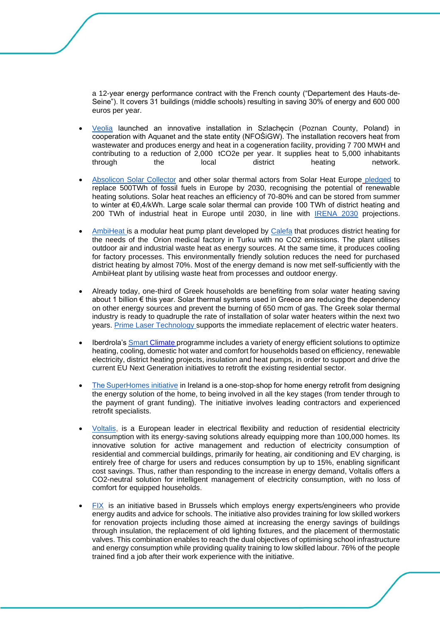a 12-year energy performance contract with the French county ("Departement des Hauts-de-Seine"). It covers 31 buildings (middle schools) resulting in saving 30% of energy and 600 000 euros per year.

- [Veolia](https://www.youtube.com/watch?v=bwenB8S8eKo) launched an innovative installation in Szlachęcin (Poznan County, Poland) in cooperation with Aquanet and the state entity (NFOŚiGW). The installation recovers heat from wastewater and produces energy and heat in a cogeneration facility, providing 7 700 MWH and contributing to a reduction of 2,000 tCO2e per year. It supplies heat to 5,000 inhabitants<br>through the local district heating network. through the local district heating network.
- [Absolicon Solar Collector](https://www.absolicon.com/) and other solar thermal actors from Solar Heat Europe [pledged](https://solariseheat.eu/) to replace 500TWh of fossil fuels in Europe by 2030, recognising the potential of renewable heating solutions. Solar heat reaches an efficiency of 70-80% and can be stored from summer to winter at €0,4/kWh. Large scale solar thermal can provide 100 TWh of district heating and 200 TWh of industrial heat in Europe until 2030, in line with [IRENA 2030](https://www.irena.org/-/media/Files/IRENA/Agency/Publication/2014/IRENA_REmap_summary_findings_2014.pdf) projections.
- [AmbiHeat is](https://www.sttinfo.fi/tiedote/calefa-won-the-european-decarbindustry-award?publisherId=68350554&releaseId=69921153) a modular heat pump plant developed by [Calefa](https://www.calefa.fi/en/) that produces district heating for the needs of the Orion medical factory in Turku with no CO2 emissions. The plant utilises outdoor air and industrial waste heat as energy sources. At the same time, it produces cooling for factory processes. This environmentally friendly solution reduces the need for purchased district heating by almost 70%. Most of the energy demand is now met self-sufficiently with the AmbiHeat plant by utilising waste heat from processes and outdoor energy.
- Already today, one-third of Greek households are benefiting from solar water heating saving about 1 billion € this year. Solar thermal systems used in Greece are reducing the dependency on other energy sources and prevent the burning of 650 mcm of gas. The Greek solar thermal industry is ready to quadruple the rate of installation of solar water heaters within the next two years. [Prime Laser Technology s](https://primelasertech.gr/en/)upports the immediate replacement of electric water heaters.
- Iberdrola's **Smart [Climate](https://www.iberdrola.es/smart-clima) programme includes a variety of energy efficient solutions to optimize** heating, cooling, domestic hot water and comfort for households based on efficiency, renewable electricity, district heating projects, insulation and heat pumps, in order to support and drive the current EU Next Generation initiatives to retrofit the existing residential sector.
- The SuperHomes initiative in Ireland is a one-stop-shop for home energy retrofit from designing the energy solution of the home, to being involved in all the key stages (from tender through to the payment of grant funding). The initiative involves leading contractors and experienced retrofit specialists.
- [Voltalis,](https://www.meridiam.com/projects/voltalis-smart-electricity-boxes/) is a European leader in electrical flexibility and reduction of residential electricity consumption with its energy-saving solutions already equipping more than 100,000 homes. Its innovative solution for active management and reduction of electricity consumption of residential and commercial buildings, primarily for heating, air conditioning and EV charging, is entirely free of charge for users and reduces consumption by up to 15%, enabling significant cost savings. Thus, rather than responding to the increase in energy demand, Voltalis offers a CO2-neutral solution for intelligent management of electricity consumption, with no loss of comfort for equipped households.
- [FIX](https://fixbrussel.be/fr) is an initiative based in Brussels which employs energy experts/engineers who provide energy audits and advice for schools. The initiative also provides training for low skilled workers for renovation projects including those aimed at increasing the energy savings of buildings through insulation, the replacement of old lighting fixtures, and the placement of thermostatic valves. This combination enables to reach the dual objectives of optimising school infrastructure and energy consumption while providing quality training to low skilled labour. 76% of the people trained find a job after their work experience with the initiative.